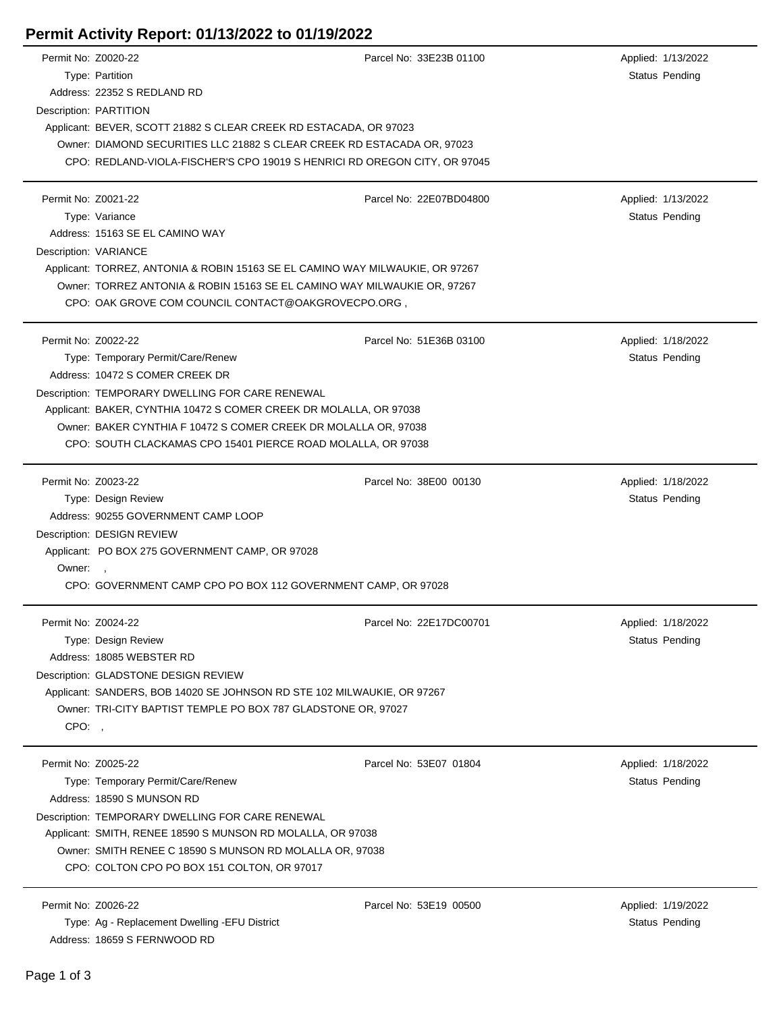## **Permit Activity Report: 01/13/2022 to 01/19/2022**

| Permit No: Z0020-22 |                                                                               | Parcel No: 33E23B 01100 | Applied: 1/13/2022    |  |  |  |
|---------------------|-------------------------------------------------------------------------------|-------------------------|-----------------------|--|--|--|
|                     | Type: Partition                                                               |                         | <b>Status Pending</b> |  |  |  |
|                     | Address: 22352 S REDLAND RD                                                   |                         |                       |  |  |  |
|                     | Description: PARTITION                                                        |                         |                       |  |  |  |
|                     | Applicant: BEVER, SCOTT 21882 S CLEAR CREEK RD ESTACADA, OR 97023             |                         |                       |  |  |  |
|                     | Owner: DIAMOND SECURITIES LLC 21882 S CLEAR CREEK RD ESTACADA OR, 97023       |                         |                       |  |  |  |
|                     | CPO: REDLAND-VIOLA-FISCHER'S CPO 19019 S HENRICI RD OREGON CITY, OR 97045     |                         |                       |  |  |  |
|                     |                                                                               |                         |                       |  |  |  |
| Permit No: Z0021-22 |                                                                               | Parcel No: 22E07BD04800 | Applied: 1/13/2022    |  |  |  |
|                     | Type: Variance                                                                |                         | <b>Status Pending</b> |  |  |  |
|                     | Address: 15163 SE EL CAMINO WAY                                               |                         |                       |  |  |  |
|                     | Description: VARIANCE                                                         |                         |                       |  |  |  |
|                     | Applicant: TORREZ, ANTONIA & ROBIN 15163 SE EL CAMINO WAY MILWAUKIE, OR 97267 |                         |                       |  |  |  |
|                     | Owner: TORREZ ANTONIA & ROBIN 15163 SE EL CAMINO WAY MILWAUKIE OR, 97267      |                         |                       |  |  |  |
|                     | CPO: OAK GROVE COM COUNCIL CONTACT@OAKGROVECPO.ORG,                           |                         |                       |  |  |  |
|                     |                                                                               |                         |                       |  |  |  |
| Permit No: Z0022-22 |                                                                               | Parcel No: 51E36B 03100 | Applied: 1/18/2022    |  |  |  |
|                     | Type: Temporary Permit/Care/Renew                                             |                         | Status Pending        |  |  |  |
|                     | Address: 10472 S COMER CREEK DR                                               |                         |                       |  |  |  |
|                     | Description: TEMPORARY DWELLING FOR CARE RENEWAL                              |                         |                       |  |  |  |
|                     | Applicant: BAKER, CYNTHIA 10472 S COMER CREEK DR MOLALLA, OR 97038            |                         |                       |  |  |  |
|                     | Owner: BAKER CYNTHIA F 10472 S COMER CREEK DR MOLALLA OR, 97038               |                         |                       |  |  |  |
|                     | CPO: SOUTH CLACKAMAS CPO 15401 PIERCE ROAD MOLALLA, OR 97038                  |                         |                       |  |  |  |
|                     |                                                                               |                         |                       |  |  |  |
| Permit No: Z0023-22 |                                                                               | Parcel No: 38E00 00130  | Applied: 1/18/2022    |  |  |  |
|                     | Type: Design Review                                                           |                         | <b>Status Pending</b> |  |  |  |
|                     | Address: 90255 GOVERNMENT CAMP LOOP                                           |                         |                       |  |  |  |
|                     | Description: DESIGN REVIEW                                                    |                         |                       |  |  |  |
|                     | Applicant: PO BOX 275 GOVERNMENT CAMP, OR 97028                               |                         |                       |  |  |  |
| Owner:              | $\overline{\phantom{a}}$                                                      |                         |                       |  |  |  |
|                     | CPO: GOVERNMENT CAMP CPO PO BOX 112 GOVERNMENT CAMP, OR 97028                 |                         |                       |  |  |  |
|                     |                                                                               |                         |                       |  |  |  |
| Permit No: Z0024-22 |                                                                               | Parcel No: 22E17DC00701 | Applied: 1/18/2022    |  |  |  |
|                     | Type: Design Review                                                           |                         | <b>Status Pending</b> |  |  |  |
|                     | Address: 18085 WEBSTER RD                                                     |                         |                       |  |  |  |
|                     | Description: GLADSTONE DESIGN REVIEW                                          |                         |                       |  |  |  |
|                     | Applicant: SANDERS, BOB 14020 SE JOHNSON RD STE 102 MILWAUKIE, OR 97267       |                         |                       |  |  |  |
|                     | Owner: TRI-CITY BAPTIST TEMPLE PO BOX 787 GLADSTONE OR, 97027                 |                         |                       |  |  |  |
| CPO:,               |                                                                               |                         |                       |  |  |  |
|                     |                                                                               |                         |                       |  |  |  |
| Permit No: Z0025-22 |                                                                               | Parcel No: 53E07 01804  | Applied: 1/18/2022    |  |  |  |
|                     | Type: Temporary Permit/Care/Renew                                             |                         | Status Pending        |  |  |  |
|                     | Address: 18590 S MUNSON RD                                                    |                         |                       |  |  |  |
|                     | Description: TEMPORARY DWELLING FOR CARE RENEWAL                              |                         |                       |  |  |  |
|                     | Applicant: SMITH, RENEE 18590 S MUNSON RD MOLALLA, OR 97038                   |                         |                       |  |  |  |
|                     | Owner: SMITH RENEE C 18590 S MUNSON RD MOLALLA OR, 97038                      |                         |                       |  |  |  |
|                     | CPO: COLTON CPO PO BOX 151 COLTON, OR 97017                                   |                         |                       |  |  |  |
|                     |                                                                               |                         |                       |  |  |  |
| Permit No: Z0026-22 |                                                                               | Parcel No: 53E19 00500  | Applied: 1/19/2022    |  |  |  |
|                     | Type: Ag - Replacement Dwelling - EFU District                                |                         | Status Pending        |  |  |  |
|                     | Address: 18659 S FERNWOOD RD                                                  |                         |                       |  |  |  |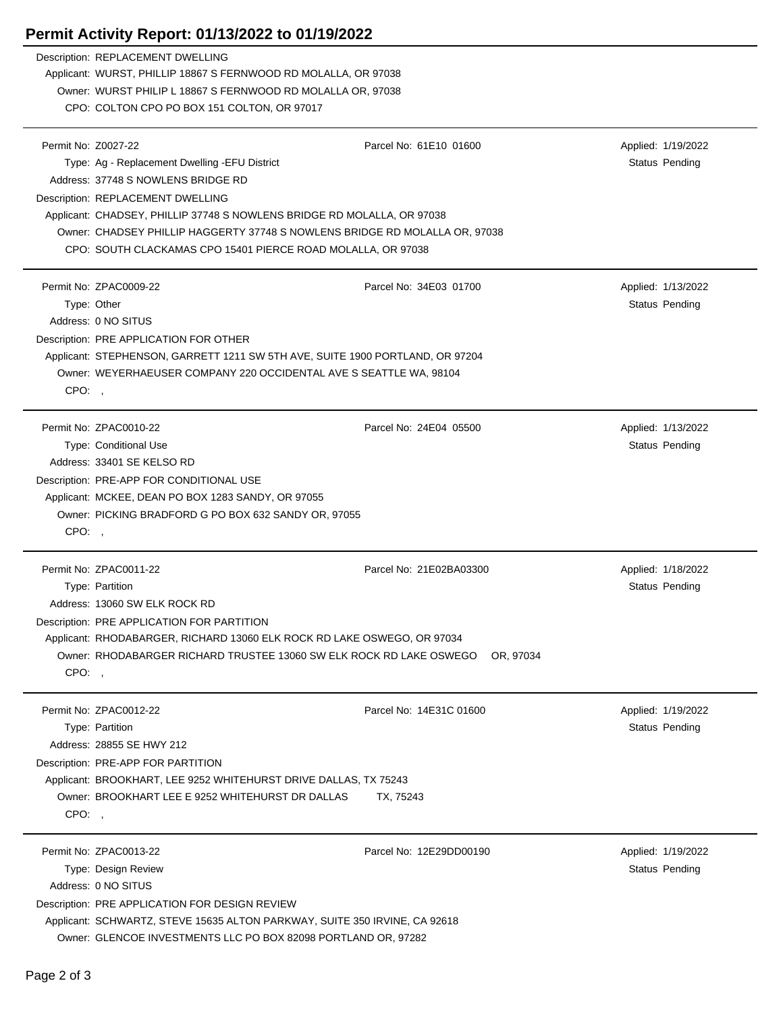## **Permit Activity Report: 01/13/2022 to 01/19/2022**

| Description: REPLACEMENT DWELLING                                                                          |                         |                       |
|------------------------------------------------------------------------------------------------------------|-------------------------|-----------------------|
| Applicant: WURST, PHILLIP 18867 S FERNWOOD RD MOLALLA, OR 97038                                            |                         |                       |
| Owner: WURST PHILIP L 18867 S FERNWOOD RD MOLALLA OR, 97038<br>CPO: COLTON CPO PO BOX 151 COLTON, OR 97017 |                         |                       |
|                                                                                                            |                         |                       |
| Permit No: Z0027-22                                                                                        | Parcel No: 61E10 01600  | Applied: 1/19/2022    |
| Type: Ag - Replacement Dwelling -EFU District                                                              |                         | <b>Status Pending</b> |
| Address: 37748 S NOWLENS BRIDGE RD                                                                         |                         |                       |
| Description: REPLACEMENT DWELLING                                                                          |                         |                       |
| Applicant: CHADSEY, PHILLIP 37748 S NOWLENS BRIDGE RD MOLALLA, OR 97038                                    |                         |                       |
| Owner: CHADSEY PHILLIP HAGGERTY 37748 S NOWLENS BRIDGE RD MOLALLA OR, 97038                                |                         |                       |
| CPO: SOUTH CLACKAMAS CPO 15401 PIERCE ROAD MOLALLA, OR 97038                                               |                         |                       |
| Permit No: ZPAC0009-22                                                                                     | Parcel No: 34E03 01700  | Applied: 1/13/2022    |
| Type: Other                                                                                                |                         | <b>Status Pending</b> |
| Address: 0 NO SITUS                                                                                        |                         |                       |
| Description: PRE APPLICATION FOR OTHER                                                                     |                         |                       |
| Applicant: STEPHENSON, GARRETT 1211 SW 5TH AVE, SUITE 1900 PORTLAND, OR 97204                              |                         |                       |
| Owner: WEYERHAEUSER COMPANY 220 OCCIDENTAL AVE S SEATTLE WA, 98104                                         |                         |                       |
| CPO:                                                                                                       |                         |                       |
| Permit No: ZPAC0010-22                                                                                     | Parcel No: 24E04 05500  | Applied: 1/13/2022    |
| <b>Type: Conditional Use</b>                                                                               |                         | Status Pending        |
| Address: 33401 SE KELSO RD                                                                                 |                         |                       |
| Description: PRE-APP FOR CONDITIONAL USE                                                                   |                         |                       |
| Applicant: MCKEE, DEAN PO BOX 1283 SANDY, OR 97055                                                         |                         |                       |
| Owner: PICKING BRADFORD G PO BOX 632 SANDY OR, 97055                                                       |                         |                       |
| CPO:,                                                                                                      |                         |                       |
| Permit No: ZPAC0011-22                                                                                     | Parcel No: 21E02BA03300 | Applied: 1/18/2022    |
| Type: Partition                                                                                            |                         | Status Pending        |
| Address: 13060 SW ELK ROCK RD                                                                              |                         |                       |
| Description: PRE APPLICATION FOR PARTITION                                                                 |                         |                       |
| Applicant: RHODABARGER, RICHARD 13060 ELK ROCK RD LAKE OSWEGO, OR 97034                                    |                         |                       |
| Owner: RHODABARGER RICHARD TRUSTEE 13060 SW ELK ROCK RD LAKE OSWEGO                                        | OR, 97034               |                       |
| CPO:,                                                                                                      |                         |                       |
| Permit No: ZPAC0012-22                                                                                     | Parcel No: 14E31C 01600 | Applied: 1/19/2022    |
| Type: Partition                                                                                            |                         | <b>Status Pending</b> |
| Address: 28855 SE HWY 212                                                                                  |                         |                       |
| Description: PRE-APP FOR PARTITION                                                                         |                         |                       |
| Applicant: BROOKHART, LEE 9252 WHITEHURST DRIVE DALLAS, TX 75243                                           |                         |                       |
| Owner: BROOKHART LEE E 9252 WHITEHURST DR DALLAS                                                           | TX, 75243               |                       |
| CPO:,                                                                                                      |                         |                       |
| Permit No: ZPAC0013-22                                                                                     | Parcel No: 12E29DD00190 | Applied: 1/19/2022    |
| Type: Design Review                                                                                        |                         | Status Pending        |
| Address: 0 NO SITUS                                                                                        |                         |                       |
| Description: PRE APPLICATION FOR DESIGN REVIEW                                                             |                         |                       |
| Applicant: SCHWARTZ, STEVE 15635 ALTON PARKWAY, SUITE 350 IRVINE, CA 92618                                 |                         |                       |
| Owner: GLENCOE INVESTMENTS LLC PO BOX 82098 PORTLAND OR, 97282                                             |                         |                       |